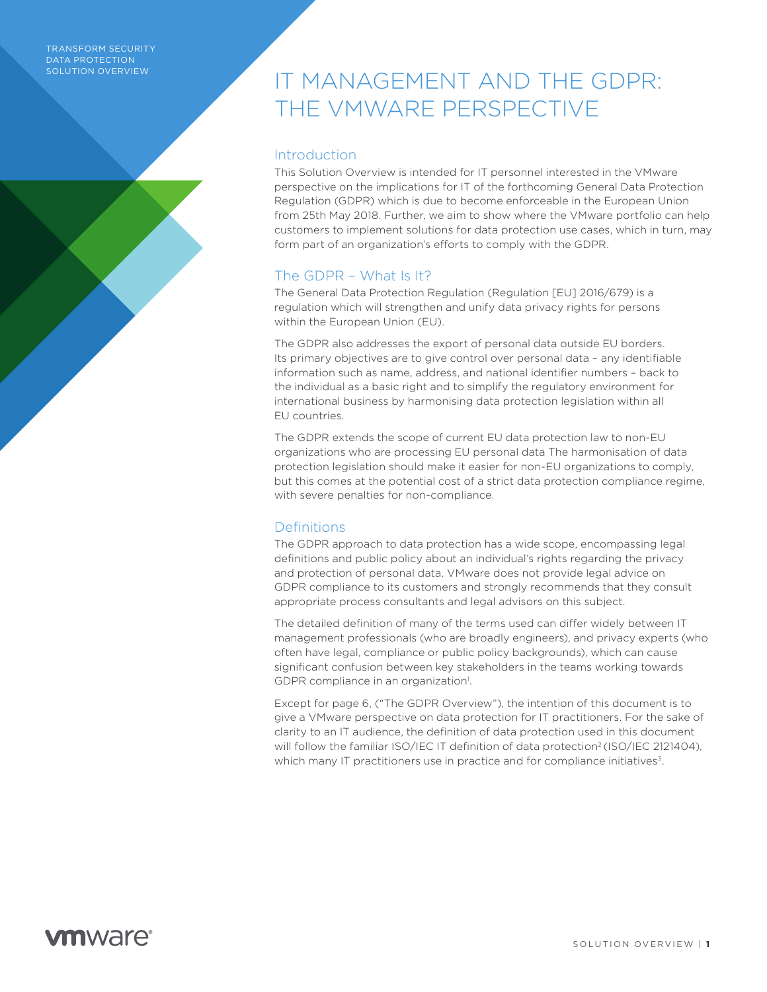#### TRANSFORM SECURITY DATA PROTECTION SOLUTION OVERVIEW

# IT MANAGEMENT AND THE GDPR: THE VMWARE PERSPECTIVE

## **Introduction**

This Solution Overview is intended for IT personnel interested in the VMware perspective on the implications for IT of the forthcoming General Data Protection Regulation (GDPR) which is due to become enforceable in the European Union from 25th May 2018. Further, we aim to show where the VMware portfolio can help customers to implement solutions for data protection use cases, which in turn, may form part of an organization's efforts to comply with the GDPR.

# The GDPR – What Is It?

The General Data Protection Regulation (Regulation [EU] 2016/679) is a regulation which will strengthen and unify data privacy rights for persons within the European Union (EU).

The GDPR also addresses the export of personal data outside EU borders. Its primary objectives are to give control over personal data – any identifiable information such as name, address, and national identifier numbers – back to the individual as a basic right and to simplify the regulatory environment for international business by harmonising data protection legislation within all EU countries.

The GDPR extends the scope of current EU data protection law to non-EU organizations who are processing EU personal data The harmonisation of data protection legislation should make it easier for non-EU organizations to comply, but this comes at the potential cost of a strict data protection compliance regime, with severe penalties for non-compliance.

# **Definitions**

The GDPR approach to data protection has a wide scope, encompassing legal definitions and public policy about an individual's rights regarding the privacy and protection of personal data. VMware does not provide legal advice on GDPR compliance to its customers and strongly recommends that they consult appropriate process consultants and legal advisors on this subject.

The detailed definition of many of the terms used can differ widely between IT management professionals (who are broadly engineers), and privacy experts (who often have legal, compliance or public policy backgrounds), which can cause significant confusion between key stakeholders in the teams working towards GDPR compliance in an organization<sup>1</sup>.

Except for page 6, ("The GDPR Overview"), the intention of this document is to give a VMware perspective on data protection for IT practitioners. For the sake of clarity to an IT audience, the definition of data protection used in this document will follow the familiar ISO/IEC IT definition of data protection<sup>2</sup> (ISO/IEC 2121404), which many IT practitioners use in practice and for compliance initiatives<sup>3</sup>.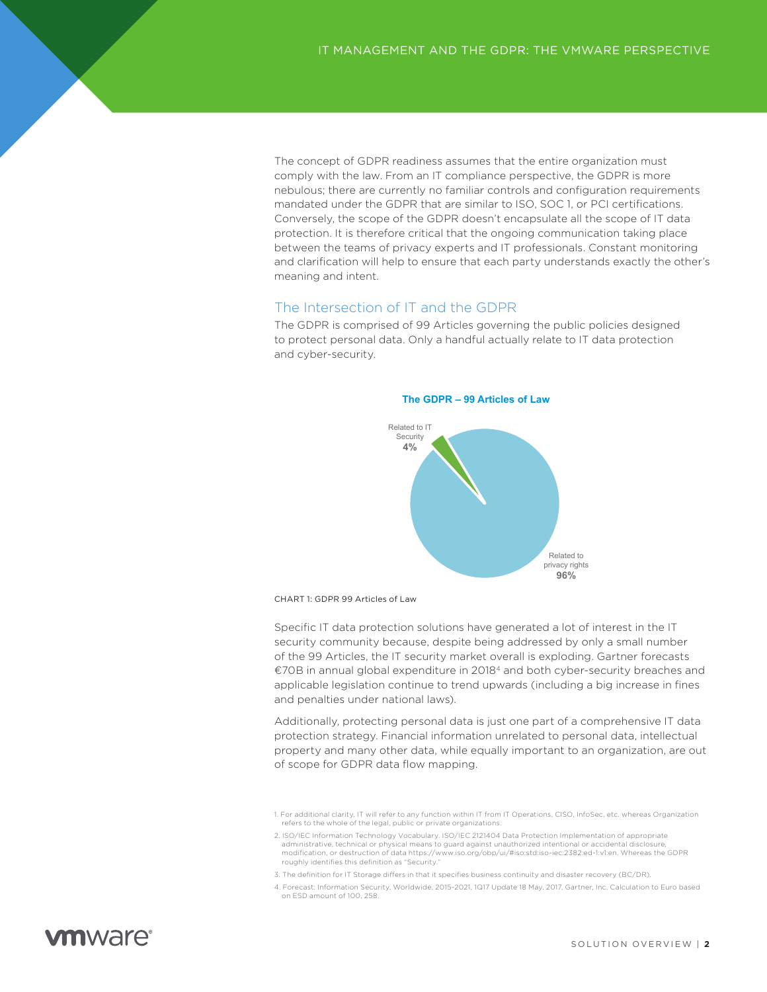The concept of GDPR readiness assumes that the entire organization must comply with the law. From an IT compliance perspective, the GDPR is more nebulous; there are currently no familiar controls and configuration requirements mandated under the GDPR that are similar to ISO, SOC 1, or PCI certifications. Conversely, the scope of the GDPR doesn't encapsulate all the scope of IT data protection. It is therefore critical that the ongoing communication taking place between the teams of privacy experts and IT professionals. Constant monitoring and clarification will help to ensure that each party understands exactly the other's meaning and intent.

### The Intersection of IT and the GDPR

The GDPR is comprised of 99 Articles governing the public policies designed to protect personal data. Only a handful actually relate to IT data protection and cyber-security.



CHART 1: GDPR 99 Articles of Law

Specific IT data protection solutions have generated a lot of interest in the IT security community because, despite being addressed by only a small number of the 99 Articles, the IT security market overall is exploding. Gartner forecasts €70B in annual global expenditure in 20184 and both cyber-security breaches and applicable legislation continue to trend upwards (including a big increase in fines and penalties under national laws).

Additionally, protecting personal data is just one part of a comprehensive IT data protection strategy. Financial information unrelated to personal data, intellectual property and many other data, while equally important to an organization, are out of scope for GDPR data flow mapping.

3. The definition for IT Storage differs in that it specifies business continuity and disaster recovery (BC/DR).

# *m*mware<sup>®</sup>

<sup>1.</sup> For additional clarity, IT will refer to any function within IT from IT Operations, CISO, InfoSec, etc. whereas Organization refers to the whole of the legal, public or private organizations.

<sup>2.</sup> ISO/IEC Information Technology Vocabulary. ISO/IEC 2121404 Data Protection Implementation of appropriate administrative, technical or physical means to guard against unauthorized intentional or accidental disclosure, modification, or destruction of data https://www.iso.org/obp/ui/#iso:std:iso-iec:2382:ed-1:v1:en. Whereas the GDPR roughly identifies this definition as "Security.

<sup>4.</sup> Forecast: Information Security, Worldwide, 2015-2021, 1Q17 Update 18 May, 2017, Gartner, Inc. Calculation to Euro based on ESD amount of 100, 258.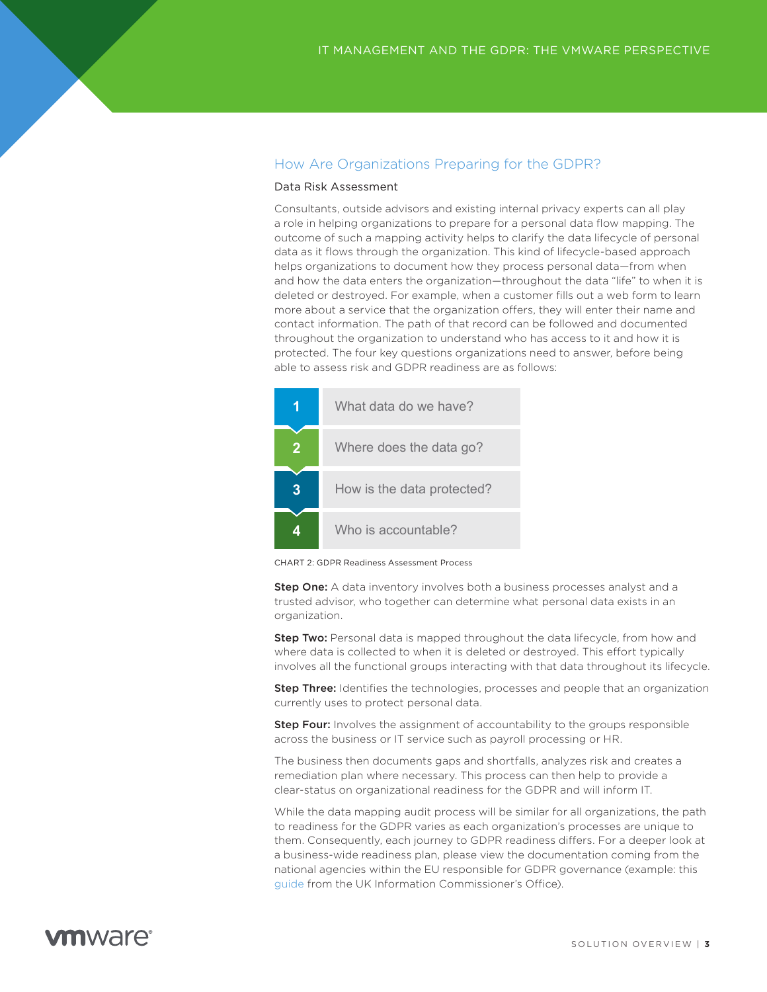## How Are Organizations Preparing for the GDPR?

### Data Risk Assessment

Consultants, outside advisors and existing internal privacy experts can all play a role in helping organizations to prepare for a personal data flow mapping. The outcome of such a mapping activity helps to clarify the data lifecycle of personal data as it flows through the organization. This kind of lifecycle-based approach helps organizations to document how they process personal data—from when and how the data enters the organization—throughout the data "life" to when it is deleted or destroyed. For example, when a customer fills out a web form to learn more about a service that the organization offers, they will enter their name and contact information. The path of that record can be followed and documented throughout the organization to understand who has access to it and how it is protected. The four key questions organizations need to answer, before being **Reading** able to assess risk and GDPR readiness are as follows: What Are Customers Doing Today?

|   | What data do we have?      |  |
|---|----------------------------|--|
| 2 | Where does the data go?    |  |
|   | How is the data protected? |  |
|   | Who is accountable?        |  |

CHART 2: GDPR Readiness Assessment Process

Step One: A data inventory involves both a business processes analyst and a trusted advisor, who together can determine what personal data exists in an organization.

**Step Two:** Personal data is mapped throughout the data lifecycle, from how and where data is collected to when it is deleted or destroyed. This effort typically involves all the functional groups interacting with that data throughout its lifecycle.

**Step Three:** Identifies the technologies, processes and people that an organization currently uses to protect personal data.

**Step Four:** Involves the assignment of accountability to the groups responsible across the business or IT service such as payroll processing or HR.

The business then documents gaps and shortfalls, analyzes risk and creates a remediation plan where necessary. This process can then help to provide a clear-status on organizational readiness for the GDPR and will inform IT.

While the data mapping audit process will be similar for all organizations, the path to readiness for the GDPR varies as each organization's processes are unique to them. Consequently, each journey to GDPR readiness differs. For a deeper look at a business-wide readiness plan, please view the documentation coming from the national agencies within the EU responsible for GDPR governance (example: this [guide](https://ico.org.uk/media/1624219/preparing-for-the-gdpr-12-steps.pdf) from the UK Information Commissioner's Office).

# *m*nware<sup>®</sup>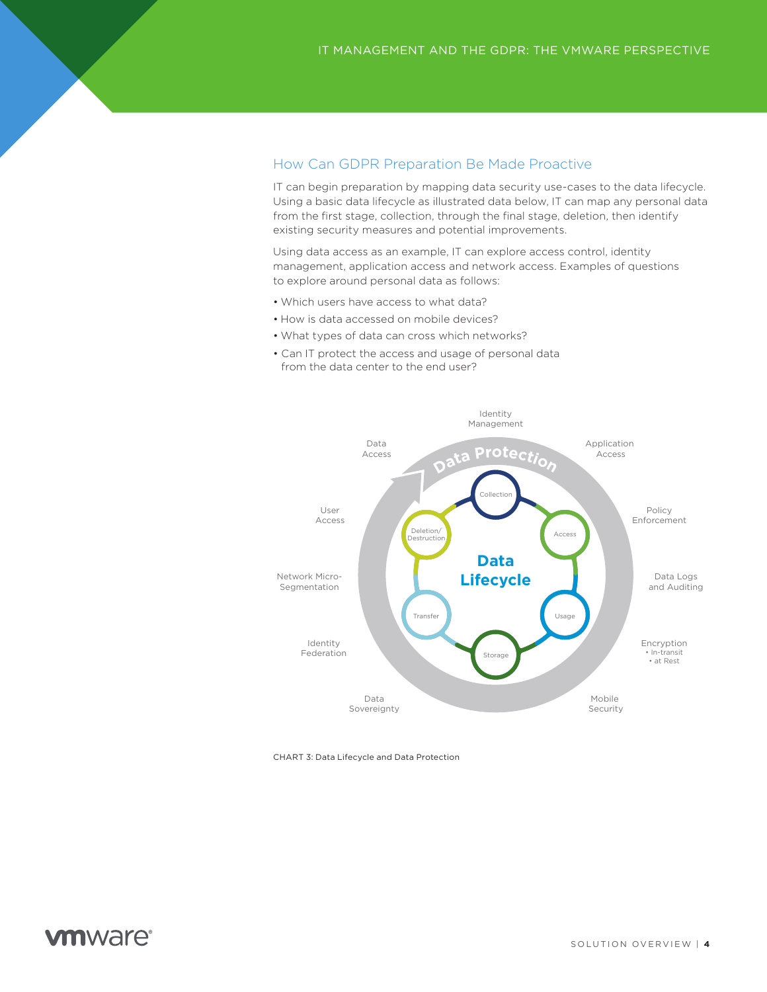## How Can GDPR Preparation Be Made Proactive

IT can begin preparation by mapping data security use-cases to the data lifecycle. Using a basic data lifecycle as illustrated data below, IT can map any personal data from the first stage, collection, through the final stage, deletion, then identify existing security measures and potential improvements.

Using data access as an example, IT can explore access control, identity management, application access and network access. Examples of questions to explore around personal data as follows:

- Which users have access to what data?
- How is data accessed on mobile devices?
- What types of data can cross which networks?
- Can IT protect the access and usage of personal data from the data center to the end user?



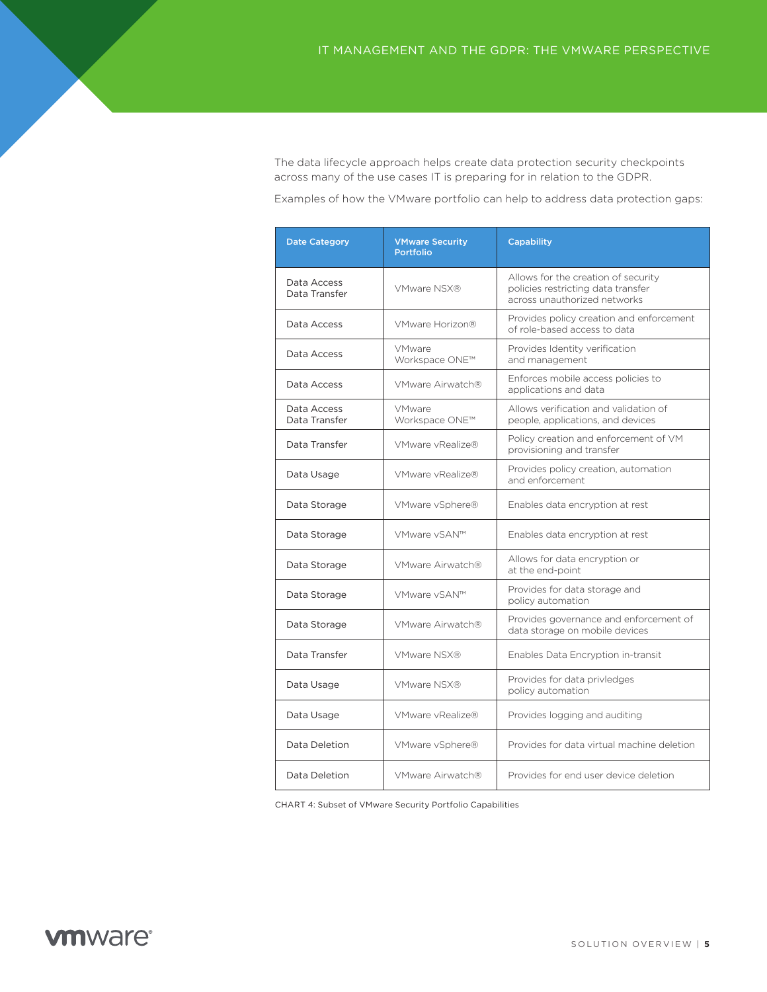The data lifecycle approach helps create data protection security checkpoints across many of the use cases IT is preparing for in relation to the GDPR.

Examples of how the VMware portfolio can help to address data protection gaps:

| <b>Date Category</b>         | <b>VMware Security</b><br><b>Portfolio</b> | <b>Capability</b>                                                                                         |
|------------------------------|--------------------------------------------|-----------------------------------------------------------------------------------------------------------|
| Data Access<br>Data Transfer | VMware NSX®                                | Allows for the creation of security<br>policies restricting data transfer<br>across unauthorized networks |
| Data Access                  | VMware Horizon®                            | Provides policy creation and enforcement<br>of role-based access to data                                  |
| Data Access                  | <b>VMware</b><br>Workspace ONE™            | Provides Identity verification<br>and management                                                          |
| Data Access                  | VMware Airwatch®                           | Enforces mobile access policies to<br>applications and data                                               |
| Data Access<br>Data Transfer | VMware<br>Workspace ONE™                   | Allows verification and validation of<br>people, applications, and devices                                |
| Data Transfer                | VMware vRealize®                           | Policy creation and enforcement of VM<br>provisioning and transfer                                        |
| Data Usage                   | VMware vRealize®                           | Provides policy creation, automation<br>and enforcement                                                   |
| Data Storage                 | VMware vSphere®                            | Enables data encryption at rest                                                                           |
| Data Storage                 | VMware vSAN™                               | Enables data encryption at rest                                                                           |
| Data Storage                 | VMware Airwatch®                           | Allows for data encryption or<br>at the end-point                                                         |
| Data Storage                 | VMware vSAN™                               | Provides for data storage and<br>policy automation                                                        |
| Data Storage                 | VMware Airwatch®                           | Provides governance and enforcement of<br>data storage on mobile devices                                  |
| Data Transfer                | VMware NSX®                                | Enables Data Encryption in-transit                                                                        |
| Data Usage                   | VMware NSX®                                | Provides for data privledges<br>policy automation                                                         |
| Data Usage                   | VMware vRealize®                           | Provides logging and auditing                                                                             |
| Data Deletion                | VMware vSphere®                            | Provides for data virtual machine deletion                                                                |
| Data Deletion                | VMware Airwatch®                           | Provides for end user device deletion                                                                     |

CHART 4: Subset of VMware Security Portfolio Capabilities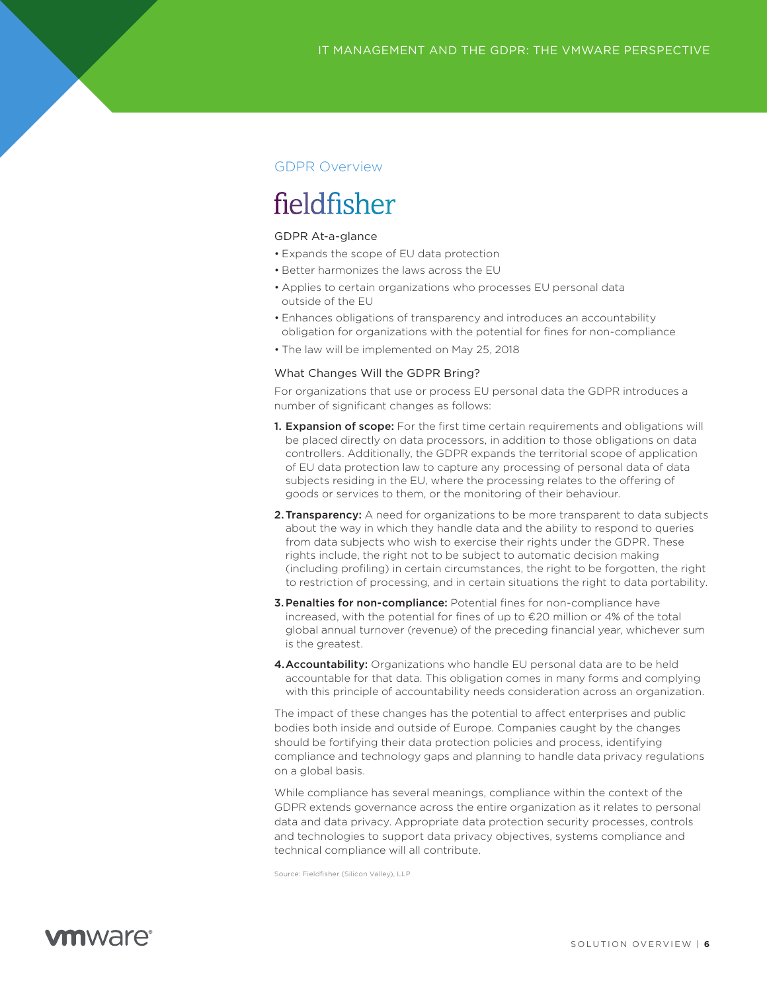## GDPR Overview

# fieldfisher

### GDPR At-a-glance

- Expands the scope of EU data protection
- Better harmonizes the laws across the EU
- Applies to certain organizations who processes EU personal data outside of the EU
- Enhances obligations of transparency and introduces an accountability obligation for organizations with the potential for fines for non-compliance
- The law will be implemented on May 25, 2018

### What Changes Will the GDPR Bring?

For organizations that use or process EU personal data the GDPR introduces a number of significant changes as follows:

- 1. Expansion of scope: For the first time certain requirements and obligations will be placed directly on data processors, in addition to those obligations on data controllers. Additionally, the GDPR expands the territorial scope of application of EU data protection law to capture any processing of personal data of data subjects residing in the EU, where the processing relates to the offering of goods or services to them, or the monitoring of their behaviour.
- 2. Transparency: A need for organizations to be more transparent to data subjects about the way in which they handle data and the ability to respond to queries from data subjects who wish to exercise their rights under the GDPR. These rights include, the right not to be subject to automatic decision making (including profiling) in certain circumstances, the right to be forgotten, the right to restriction of processing, and in certain situations the right to data portability.
- **3. Penalties for non-compliance:** Potential fines for non-compliance have increased, with the potential for fines of up to €20 million or 4% of the total global annual turnover (revenue) of the preceding financial year, whichever sum is the greatest.
- 4. Accountability: Organizations who handle EU personal data are to be held accountable for that data. This obligation comes in many forms and complying with this principle of accountability needs consideration across an organization.

The impact of these changes has the potential to affect enterprises and public bodies both inside and outside of Europe. Companies caught by the changes should be fortifying their data protection policies and process, identifying compliance and technology gaps and planning to handle data privacy regulations on a global basis.

While compliance has several meanings, compliance within the context of the GDPR extends governance across the entire organization as it relates to personal data and data privacy. Appropriate data protection security processes, controls and technologies to support data privacy objectives, systems compliance and technical compliance will all contribute.

Source: Fieldfisher (Silicon Valley), LLP

# **vm**ware<sup>®</sup>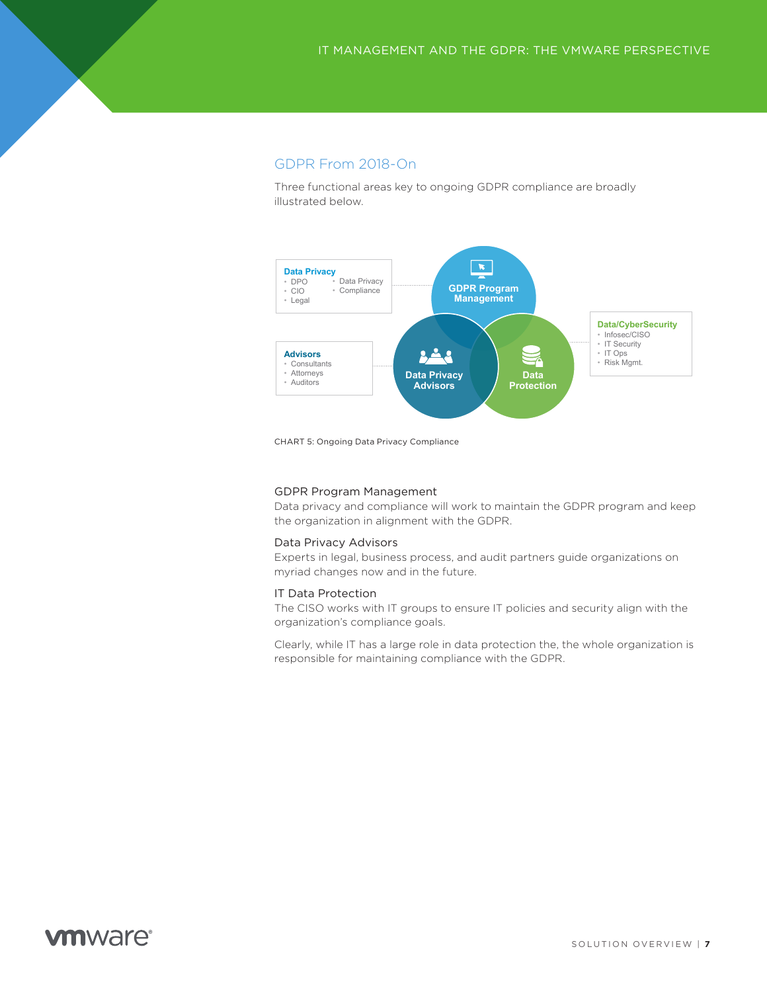### GDPR From 2018-On

Three functional areas key to ongoing GDPR compliance are broadly illustrated below.



CHART 5: Ongoing Data Privacy Compliance

### GDPR Program Management

Data privacy and compliance will work to maintain the GDPR program and keep the organization in alignment with the GDPR.

### Data Privacy Advisors

Experts in legal, business process, and audit partners guide organizations on myriad changes now and in the future.

### IT Data Protection

The CISO works with IT groups to ensure IT policies and security align with the organization's compliance goals.

Clearly, while IT has a large role in data protection the, the whole organization is responsible for maintaining compliance with the GDPR.

# **vm**ware<sup>®</sup>